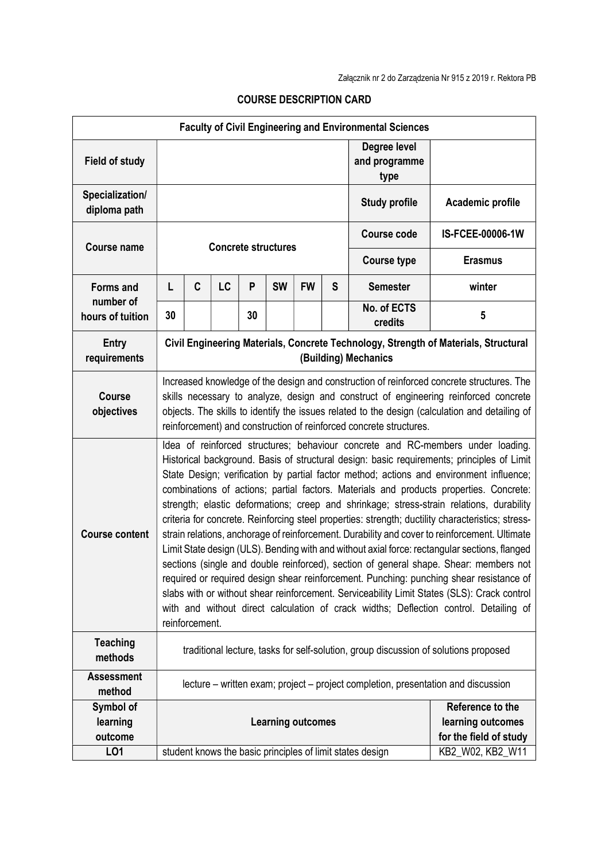| <b>Faculty of Civil Engineering and Environmental Sciences</b> |                                                                                                                                                                                                                                                                                                                                                                                                                                                                                                                                                                                                                                                                                                                                                                                                                                                                                                                                                                                                                                                                                                                                                                     |   |    |    |                                                                 |           |                                       |                                                           |                  |
|----------------------------------------------------------------|---------------------------------------------------------------------------------------------------------------------------------------------------------------------------------------------------------------------------------------------------------------------------------------------------------------------------------------------------------------------------------------------------------------------------------------------------------------------------------------------------------------------------------------------------------------------------------------------------------------------------------------------------------------------------------------------------------------------------------------------------------------------------------------------------------------------------------------------------------------------------------------------------------------------------------------------------------------------------------------------------------------------------------------------------------------------------------------------------------------------------------------------------------------------|---|----|----|-----------------------------------------------------------------|-----------|---------------------------------------|-----------------------------------------------------------|------------------|
| <b>Field of study</b>                                          |                                                                                                                                                                                                                                                                                                                                                                                                                                                                                                                                                                                                                                                                                                                                                                                                                                                                                                                                                                                                                                                                                                                                                                     |   |    |    |                                                                 |           | Degree level<br>and programme<br>type |                                                           |                  |
| Specialization/<br>diploma path                                |                                                                                                                                                                                                                                                                                                                                                                                                                                                                                                                                                                                                                                                                                                                                                                                                                                                                                                                                                                                                                                                                                                                                                                     |   |    |    |                                                                 |           | <b>Study profile</b>                  | Academic profile                                          |                  |
| <b>Course name</b>                                             | <b>Concrete structures</b>                                                                                                                                                                                                                                                                                                                                                                                                                                                                                                                                                                                                                                                                                                                                                                                                                                                                                                                                                                                                                                                                                                                                          |   |    |    |                                                                 |           | <b>Course code</b>                    | IS-FCEE-00006-1W                                          |                  |
|                                                                |                                                                                                                                                                                                                                                                                                                                                                                                                                                                                                                                                                                                                                                                                                                                                                                                                                                                                                                                                                                                                                                                                                                                                                     |   |    |    |                                                                 |           |                                       | <b>Course type</b>                                        | <b>Erasmus</b>   |
| <b>Forms and</b><br>number of<br>hours of tuition              | L                                                                                                                                                                                                                                                                                                                                                                                                                                                                                                                                                                                                                                                                                                                                                                                                                                                                                                                                                                                                                                                                                                                                                                   | C | LC | P  | <b>SW</b>                                                       | <b>FW</b> | S                                     | <b>Semester</b>                                           | winter           |
|                                                                | 30                                                                                                                                                                                                                                                                                                                                                                                                                                                                                                                                                                                                                                                                                                                                                                                                                                                                                                                                                                                                                                                                                                                                                                  |   |    | 30 |                                                                 |           |                                       | No. of ECTS<br>credits                                    | 5                |
| <b>Entry</b><br>requirements                                   | Civil Engineering Materials, Concrete Technology, Strength of Materials, Structural<br>(Building) Mechanics                                                                                                                                                                                                                                                                                                                                                                                                                                                                                                                                                                                                                                                                                                                                                                                                                                                                                                                                                                                                                                                         |   |    |    |                                                                 |           |                                       |                                                           |                  |
| Course<br>objectives                                           | Increased knowledge of the design and construction of reinforced concrete structures. The<br>skills necessary to analyze, design and construct of engineering reinforced concrete<br>objects. The skills to identify the issues related to the design (calculation and detailing of<br>reinforcement) and construction of reinforced concrete structures.                                                                                                                                                                                                                                                                                                                                                                                                                                                                                                                                                                                                                                                                                                                                                                                                           |   |    |    |                                                                 |           |                                       |                                                           |                  |
| <b>Course content</b>                                          | Idea of reinforced structures; behaviour concrete and RC-members under loading.<br>Historical background. Basis of structural design: basic requirements; principles of Limit<br>State Design; verification by partial factor method; actions and environment influence;<br>combinations of actions; partial factors. Materials and products properties. Concrete:<br>strength; elastic deformations; creep and shrinkage; stress-strain relations, durability<br>criteria for concrete. Reinforcing steel properties: strength; ductility characteristics; stress-<br>strain relations, anchorage of reinforcement. Durability and cover to reinforcement. Ultimate<br>Limit State design (ULS). Bending with and without axial force: rectangular sections, flanged<br>sections (single and double reinforced), section of general shape. Shear: members not<br>required or required design shear reinforcement. Punching: punching shear resistance of<br>slabs with or without shear reinforcement. Serviceability Limit States (SLS): Crack control<br>with and without direct calculation of crack widths; Deflection control. Detailing of<br>reinforcement. |   |    |    |                                                                 |           |                                       |                                                           |                  |
| <b>Teaching</b><br>methods                                     | traditional lecture, tasks for self-solution, group discussion of solutions proposed                                                                                                                                                                                                                                                                                                                                                                                                                                                                                                                                                                                                                                                                                                                                                                                                                                                                                                                                                                                                                                                                                |   |    |    |                                                                 |           |                                       |                                                           |                  |
| <b>Assessment</b><br>method                                    | lecture – written exam; project – project completion, presentation and discussion                                                                                                                                                                                                                                                                                                                                                                                                                                                                                                                                                                                                                                                                                                                                                                                                                                                                                                                                                                                                                                                                                   |   |    |    |                                                                 |           |                                       |                                                           |                  |
| Symbol of<br>learning<br>outcome                               | <b>Learning outcomes</b>                                                                                                                                                                                                                                                                                                                                                                                                                                                                                                                                                                                                                                                                                                                                                                                                                                                                                                                                                                                                                                                                                                                                            |   |    |    | Reference to the<br>learning outcomes<br>for the field of study |           |                                       |                                                           |                  |
| LO1                                                            |                                                                                                                                                                                                                                                                                                                                                                                                                                                                                                                                                                                                                                                                                                                                                                                                                                                                                                                                                                                                                                                                                                                                                                     |   |    |    |                                                                 |           |                                       | student knows the basic principles of limit states design | KB2_W02, KB2_W11 |

## COURSE DESCRIPTION CARD